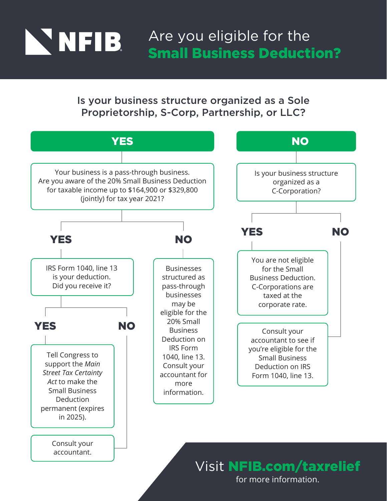

Are you eligible for the Small Business Deduction?

Is your business structure organized as a Sole Proprietorship, S-Corp, Partnership, or LLC?



for more information.